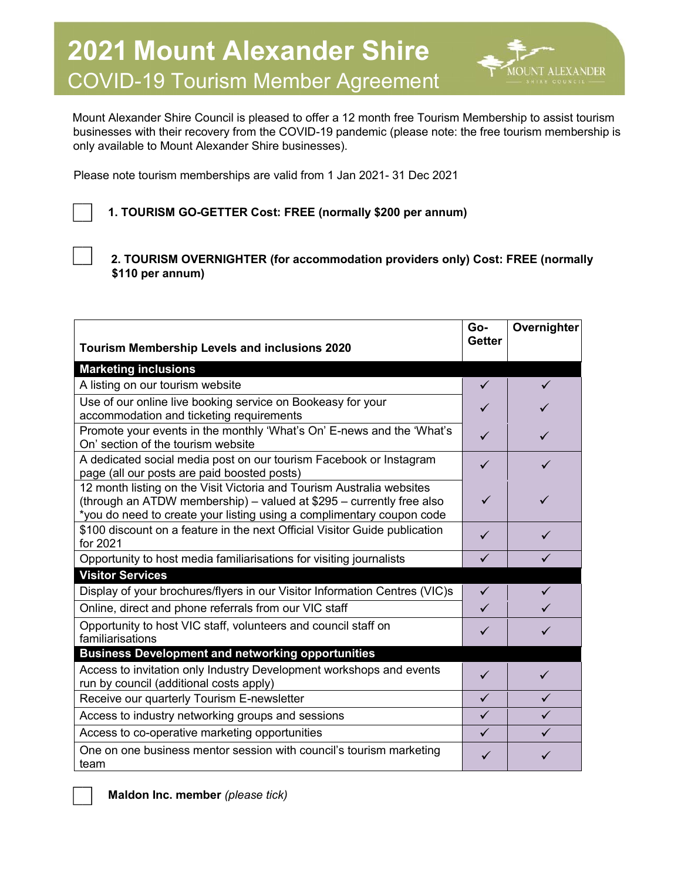

Mount Alexander Shire Council is pleased to offer a 12 month free Tourism Membership to assist tourism businesses with their recovery from the COVID-19 pandemic (please note: the free tourism membership is only available to Mount Alexander Shire businesses).

Please note tourism memberships are valid from 1 Jan 2021- 31 Dec 2021

## **1. TOURISM GO-GETTER Cost: FREE (normally \$200 per annum)**

**2. TOURISM OVERNIGHTER (for accommodation providers only) Cost: FREE (normally \$110 per annum)** 

| <b>Tourism Membership Levels and inclusions 2020</b>                                                                                                                                                                   | Go-<br><b>Getter</b> | Overnighter  |
|------------------------------------------------------------------------------------------------------------------------------------------------------------------------------------------------------------------------|----------------------|--------------|
| <b>Marketing inclusions</b>                                                                                                                                                                                            |                      |              |
| A listing on our tourism website                                                                                                                                                                                       | $\checkmark$         | $\checkmark$ |
| Use of our online live booking service on Bookeasy for your<br>accommodation and ticketing requirements                                                                                                                | ✓                    |              |
| Promote your events in the monthly 'What's On' E-news and the 'What's<br>On' section of the tourism website                                                                                                            | ✓                    |              |
| A dedicated social media post on our tourism Facebook or Instagram<br>page (all our posts are paid boosted posts)                                                                                                      | ✓                    | ✓            |
| 12 month listing on the Visit Victoria and Tourism Australia websites<br>(through an ATDW membership) - valued at \$295 - currently free also<br>*you do need to create your listing using a complimentary coupon code | ✓                    |              |
| \$100 discount on a feature in the next Official Visitor Guide publication<br>for 2021                                                                                                                                 | ✓                    | ✓            |
| Opportunity to host media familiarisations for visiting journalists                                                                                                                                                    | $\checkmark$         | $\checkmark$ |
| <b>Visitor Services</b>                                                                                                                                                                                                |                      |              |
| Display of your brochures/flyers in our Visitor Information Centres (VIC)s                                                                                                                                             | $\checkmark$         |              |
| Online, direct and phone referrals from our VIC staff                                                                                                                                                                  | ✓                    |              |
| Opportunity to host VIC staff, volunteers and council staff on<br>familiarisations                                                                                                                                     | ✓                    | ✓            |
| <b>Business Development and networking opportunities</b>                                                                                                                                                               |                      |              |
| Access to invitation only Industry Development workshops and events<br>run by council (additional costs apply)                                                                                                         | ✓                    |              |
| Receive our quarterly Tourism E-newsletter                                                                                                                                                                             | ✓                    | $\checkmark$ |
| Access to industry networking groups and sessions                                                                                                                                                                      | ✓                    | ✓            |
| Access to co-operative marketing opportunities                                                                                                                                                                         | ✓                    | ✓            |
| One on one business mentor session with council's tourism marketing<br>team                                                                                                                                            | ✓                    |              |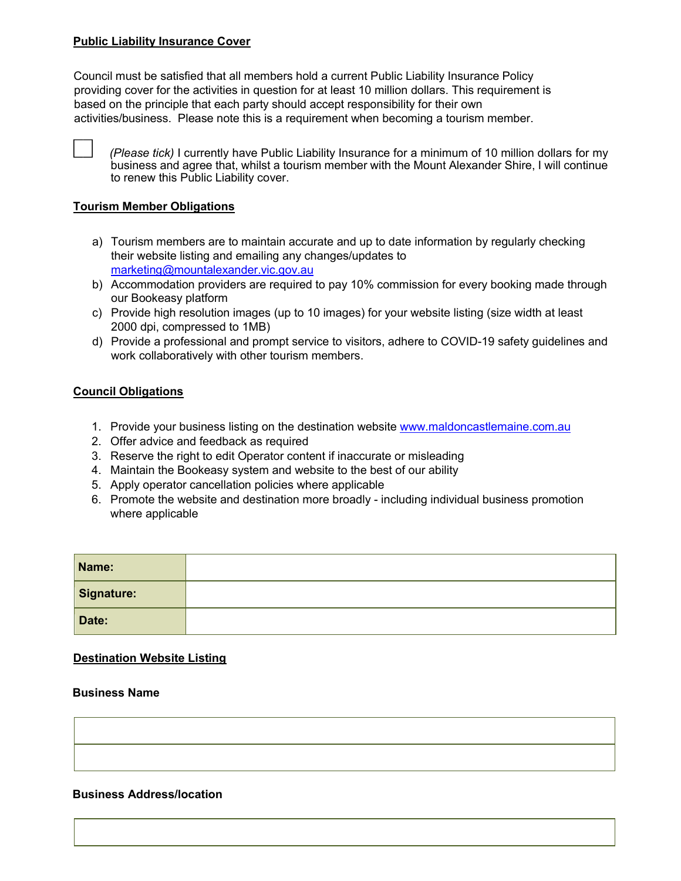### **Public Liability Insurance Cover**

Council must be satisfied that all members hold a current Public Liability Insurance Policy providing cover for the activities in question for at least 10 million dollars. This requirement is based on the principle that each party should accept responsibility for their own activities/business. Please note this is a requirement when becoming a tourism member.

 *(Please tick)* I currently have Public Liability Insurance for a minimum of 10 million dollars for my business and agree that, whilst a tourism member with the Mount Alexander Shire, I will continue to renew this Public Liability cover.

### **Tourism Member Obligations**

- a) Tourism members are to maintain accurate and up to date information by regularly checking their website listing and emailing any changes/updates to marketing@mountalexander.vic.gov.au
- b) Accommodation providers are required to pay 10% commission for every booking made through our Bookeasy platform
- c) Provide high resolution images (up to 10 images) for your website listing (size width at least 2000 dpi, compressed to 1MB)
- d) Provide a professional and prompt service to visitors, adhere to COVID-19 safety guidelines and work collaboratively with other tourism members.

### **Council Obligations**

- 1. Provide your business listing on the destination website www.maldoncastlemaine.com.au
- 2. Offer advice and feedback as required
- 3. Reserve the right to edit Operator content if inaccurate or misleading
- 4. Maintain the Bookeasy system and website to the best of our ability
- 5. Apply operator cancellation policies where applicable
- 6. Promote the website and destination more broadly including individual business promotion where applicable

| Name:      |  |
|------------|--|
| Signature: |  |
| Date:      |  |

### **Destination Website Listing**

### **Business Name**

#### **Business Address/location**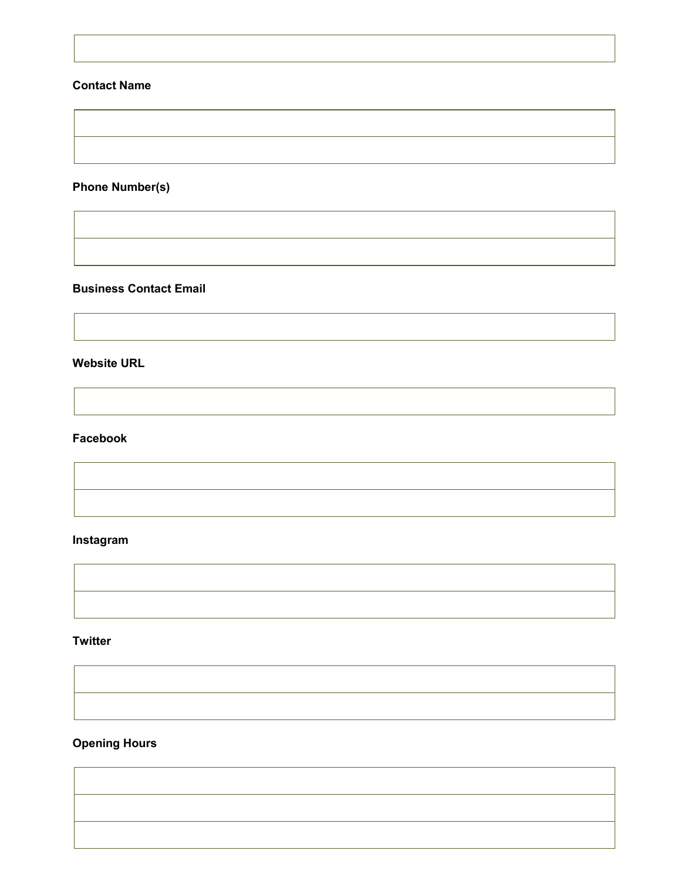## **Contact Name**

# **Phone Number(s)**

### **Business Contact Email**

**Website URL** 

# **Facebook**

# **Instagram**

### **Twitter**

# **Opening Hours**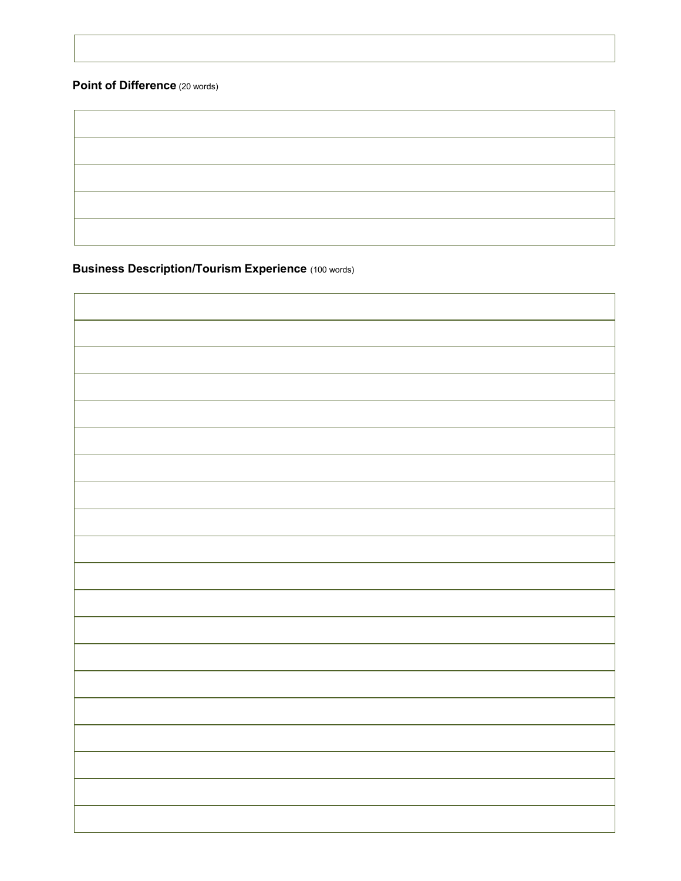## **Point of Difference** (20 words)

**Business Description/Tourism Experience** (100 words)